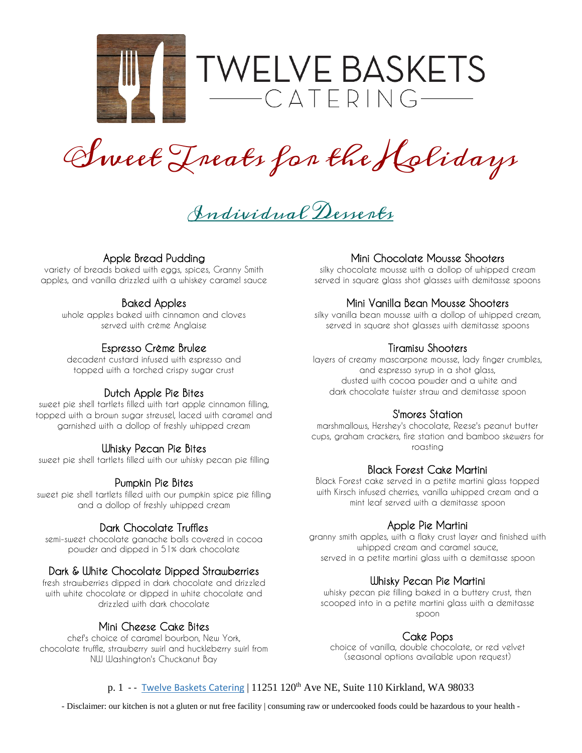

Sweet Treats for the Holidays

Individual Desserts

# **Apple Bread Pudding**

**variety of breads baked with eggs, spices, Granny Smith apples, and vanilla drizzled with a whiskey caramel sauce**

# **Baked Apples**

**whole apples baked with cinnamon and cloves served with crème Anglaise**

## **Espresso Crème Brulee**

**decadent custard infused with espresso and topped with a torched crispy sugar crust**

## **Dutch Apple Pie Bites**

**sweet pie shell tartlets filled with tart apple cinnamon filling, topped with a brown sugar streusel, laced with caramel and garnished with a dollop of freshly whipped cream**

## **Whisky Pecan Pie Bites**

**sweet pie shell tartlets filled with our whisky pecan pie filling**

## **Pumpkin Pie Bites**

**sweet pie shell tartlets filled with our pumpkin spice pie filling and a dollop of freshly whipped cream**

### **Dark Chocolate Truffles**

**semi-sweet chocolate ganache balls covered in cocoa powder and dipped in 51% dark chocolate**

## **Dark & White Chocolate Dipped Strawberries**

**fresh strawberries dipped in dark chocolate and drizzled with white chocolate or dipped in white chocolate and drizzled with dark chocolate**

### **Mini Cheese Cake Bites**

**chef's choice of caramel bourbon, New York, chocolate truffle, strawberry swirl and huckleberry swirl from NW Washington's Chuckanut Bay**

# **Mini Chocolate Mousse Shooters**

**silky chocolate mousse with a dollop of whipped cream served in square glass shot glasses with demitasse spoons**

## **Mini Vanilla Bean Mousse Shooters**

**silky vanilla bean mousse with a dollop of whipped cream, served in square shot glasses with demitasse spoons**

## **Tiramisu Shooters**

**layers of creamy mascarpone mousse, lady finger crumbles, and espresso syrup in a shot glass, dusted with cocoa powder and a white and dark chocolate twister straw and demitasse spoon**

# **S'mores Station**

**marshmallows, Hershey's chocolate, Reese's peanut butter cups, graham crackers, fire station and bamboo skewers for roasting**

#### **Black Forest Cake Martini**

**Black Forest cake served in a petite martini glass topped with Kirsch infused cherries, vanilla whipped cream and a mint leaf served with a demitasse spoon**

### **Apple Pie Martini**

**granny smith apples, with a flaky crust layer and finished with whipped cream and caramel sauce, served in a petite martini glass with a demitasse spoon**

#### **Whisky Pecan Pie Martini**

**whisky pecan pie filling baked in a buttery crust, then scooped into in a petite martini glass with a demitasse spoon**

## **Cake Pops**

**choice of vanilla, double chocolate, or red velvet (seasonal options available upon request)**

### p. 1 - - [Twelve Baskets Catering](http://www.twelvebasketscatering.com/) | 11251 120<sup>th</sup> Ave NE, Suite 110 Kirkland, WA 98033

- Disclaimer: our kitchen is not a gluten or nut free facility | consuming raw or undercooked foods could be hazardous to your health -